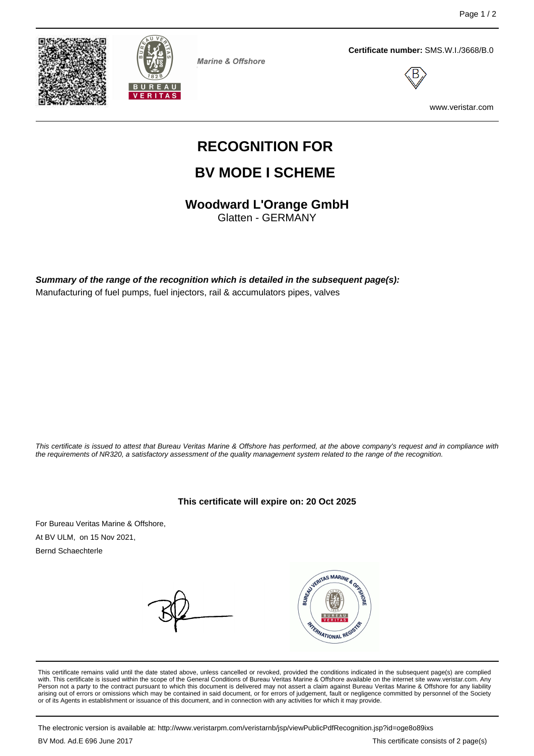



**Marine & Offshore** 

**Certificate number:** SMS.W.I./3668/B.0



www.veristar.com

# **RECOGNITION FOR**

## **BV MODE I SCHEME**

**Woodward L'Orange GmbH**

Glatten - GERMANY

**Summary of the range of the recognition which is detailed in the subsequent page(s):** Manufacturing of fuel pumps, fuel injectors, rail & accumulators pipes, valves

This certificate is issued to attest that Bureau Veritas Marine & Offshore has performed, at the above company's request and in compliance with the requirements of NR320, a satisfactory assessment of the quality management system related to the range of the recognition.

**This certificate will expire on: 20 Oct 2025**

For Bureau Veritas Marine & Offshore, At BV ULM, on 15 Nov 2021, Bernd Schaechterle

VERITAS MARINE & OR FERNATIONAL REGI

This certificate remains valid until the date stated above, unless cancelled or revoked, provided the conditions indicated in the subsequent page(s) are complied with. This certificate is issued within the scope of the General Conditions of Bureau Veritas Marine & Offshore available on the internet site www.veristar.com. Any Person not a party to the contract pursuant to which this document is delivered may not assert a claim against Bureau Veritas Marine & Offshore for any liability arising out of errors or omissions which may be contained in said document, or for errors of judgement, fault or negligence committed by personnel of the Society<br>or of its Agents in establishment or issuance of this docume

The electronic version is available at: http://www.veristarpm.com/veristarnb/jsp/viewPublicPdfRecognition.jsp?id=oge8o89ixs